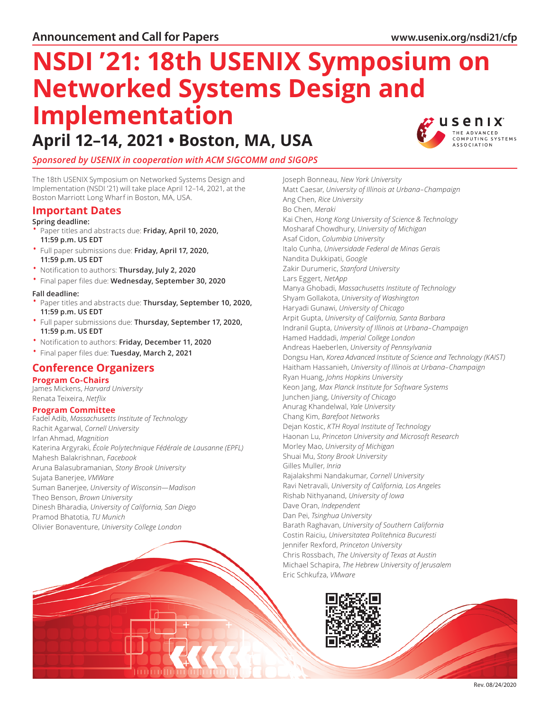# **NSDI '21: 18th USENIX Symposium on Networked Systems Design and Implementation**

# **April 12–14, 2021 • Boston, MA, USA**



# *Sponsored by USENIX in cooperation with ACM SIGCOMM and SIGOPS*

The 18th USENIX Symposium on Networked Systems Design and Implementation (NSDI '21) will take place April 12–14, 2021, at the Boston Marriott Long Wharf in Boston, MA, USA.

# **Important Dates**

#### **Spring deadline:**

- Paper titles and abstracts due: **Friday, April 10, 2020, 11:59 p.m. US EDT**
- Full paper submissions due: **Friday, April 17, 2020, 11:59 p.m. US EDT**
- Notification to authors: **Thursday, July 2, 2020**
- Final paper files due: **Wednesday, September 30, 2020**

#### **Fall deadline:**

- Paper titles and abstracts due: **Thursday, September 10, 2020, 11:59 p.m. US EDT**
- Full paper submissions due: **Thursday, September 17, 2020, 11:59 p.m. US EDT**
- Notification to authors: **Friday, December 11, 2020**

### • Final paper files due: **Tuesday, March 2, 2021**

# **Conference Organizers**

# **Program Co-Chairs**

James Mickens, *Harvard University* Renata Teixeira, *Netflix*

#### **Program Committee**

Fadel Adib, *Massachusetts Institute of Technology* Rachit Agarwal, *Cornell University* Irfan Ahmad, *Magnition* Katerina Argyraki, *École Polytechnique Fédérale de Lausanne (EPFL)* Mahesh Balakrishnan, *Facebook* Aruna Balasubramanian, *Stony Brook University* Sujata Banerjee, *VMWare* Suman Banerjee, *University of Wisconsin—Madison* Theo Benson, *Brown University* Dinesh Bharadia, *University of California, San Diego* Pramod Bhatotia, *TU Munich* Olivier Bonaventure, *University College London*

Kai Chen, *Hong Kong University of Science & Technology* Mosharaf Chowdhury, *University of Michigan* Asaf Cidon, *Columbia University* Italo Cunha, *Universidade Federal de Minas Gerais* Nandita Dukkipati, *Google* Zakir Durumeric, *Stanford University* Lars Eggert, *NetApp* Manya Ghobadi, *Massachusetts Institute of Technology* Shyam Gollakota, *University of Washington* Haryadi Gunawi, *University of Chicago* Arpit Gupta, *University of California, Santa Barbara* Indranil Gupta, *University of Illinois at Urbana–Champaign* Hamed Haddadi, *Imperial College London* Andreas Haeberlen, *University of Pennsylvania* Dongsu Han, *Korea Advanced Institute of Science and Technology (KAIST)* Haitham Hassanieh, *University of Illinois at Urbana–Champaign* Ryan Huang, *Johns Hopkins University* Keon Jang, *Max Planck Institute for Software Systems* Junchen Jiang, *University of Chicago* Anurag Khandelwal, *Yale University* Chang Kim, *Barefoot Networks* Dejan Kostic, *KTH Royal Institute of Technology* Haonan Lu, *Princeton University and Microsoft Research* Morley Mao, *University of Michigan* Shuai Mu, *Stony Brook University* Gilles Muller, *Inria* Rajalakshmi Nandakumar, *Cornell University* Ravi Netravali, *University of California, Los Angeles* Rishab Nithyanand, *University of Iowa* Dave Oran, *Independent* Dan Pei, *Tsinghua University* Barath Raghavan, *University of Southern California* Costin Raiciu, *Universitatea Politehnica Bucuresti* Jennifer Rexford, *Princeton University* Chris Rossbach, *The University of Texas at Austin* Michael Schapira, *The Hebrew University of Jerusalem*

Joseph Bonneau, *New York University*

Ang Chen, *Rice University* Bo Chen, *Meraki*

Matt Caesar, *University of Illinois at Urbana–Champaign*



Eric Schkufza, *VMware*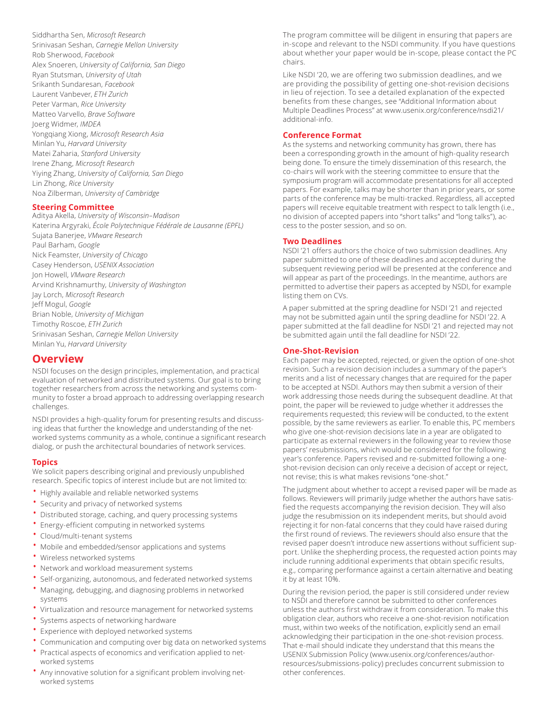Siddhartha Sen, *Microsoft Research* Srinivasan Seshan, *Carnegie Mellon University* Rob Sherwood, *Facebook* Alex Snoeren, *University of California, San Diego* Ryan Stutsman, *University of Utah* Srikanth Sundaresan, *Facebook* Laurent Vanbever, *ETH Zurich* Peter Varman, *Rice University* Matteo Varvello, *Brave Software* Joerg Widmer, *IMDEA* Yongqiang Xiong, *Microsoft Research Asia* Minlan Yu, *Harvard University* Matei Zaharia, *Stanford University* Irene Zhang, *Microsoft Research* Yiying Zhang, *University of California, San Diego* Lin Zhong, *Rice University* Noa Zilberman, *University of Cambridge*

#### **Steering Committee**

Aditya Akella, *University of Wisconsin–Madison* Katerina Argyraki, *École Polytechnique Fédérale de Lausanne (EPFL)* Sujata Banerjee, *VMware Research* Paul Barham, *Google* Nick Feamster, *University of Chicago* Casey Henderson, *USENIX Association* Jon Howell, *VMware Research* Arvind Krishnamurthy, *University of Washington* Jay Lorch, *Microsoft Research* Jeff Mogul, *Google* Brian Noble, *University of Michigan* Timothy Roscoe, *ETH Zurich* Srinivasan Seshan, *Carnegie Mellon University* Minlan Yu, *Harvard University*

# **Overview**

NSDI focuses on the design principles, implementation, and practical evaluation of networked and distributed systems. Our goal is to bring together researchers from across the networking and systems community to foster a broad approach to addressing overlapping research challenges.

NSDI provides a high-quality forum for presenting results and discussing ideas that further the knowledge and understanding of the networked systems community as a whole, continue a significant research dialog, or push the architectural boundaries of network services.

#### **Topics**

We solicit papers describing original and previously unpublished research. Specific topics of interest include but are not limited to:

- Highly available and reliable networked systems
- Security and privacy of networked systems
- Distributed storage, caching, and query processing systems
- Energy-efficient computing in networked systems
- Cloud/multi-tenant systems
- Mobile and embedded/sensor applications and systems
- Wireless networked systems
- Network and workload measurement systems
- Self-organizing, autonomous, and federated networked systems
- Managing, debugging, and diagnosing problems in networked systems
- Virtualization and resource management for networked systems
- Systems aspects of networking hardware
- Experience with deployed networked systems
- Communication and computing over big data on networked systems
- Practical aspects of economics and verification applied to networked systems
- Any innovative solution for a significant problem involving networked systems

The program committee will be diligent in ensuring that papers are in-scope and relevant to the NSDI community. If you have questions about whether your paper would be in-scope, please contact the PC chairs.

Like NSDI '20, we are offering two submission deadlines, and we are providing the possibility of getting one-shot-revision decisions in lieu of rejection. To see a detailed explanation of the expected benefits from these changes, see "Additional Information about Multiple Deadlines Process" at [www.usenix.org/conference/nsdi21/](http://www.usenix.org/conference/nsdi19/additional-info) [additional-info.](http://www.usenix.org/conference/nsdi19/additional-info)

#### **Conference Format**

As the systems and networking community has grown, there has been a corresponding growth in the amount of high-quality research being done. To ensure the timely dissemination of this research, the co-chairs will work with the steering committee to ensure that the symposium program will accommodate presentations for all accepted papers. For example, talks may be shorter than in prior years, or some parts of the conference may be multi-tracked. Regardless, all accepted papers will receive equitable treatment with respect to talk length (i.e., no division of accepted papers into "short talks" and "long talks"), access to the poster session, and so on.

#### **Two Deadlines**

NSDI '21 offers authors the choice of two submission deadlines. Any paper submitted to one of these deadlines and accepted during the subsequent reviewing period will be presented at the conference and will appear as part of the proceedings. In the meantime, authors are permitted to advertise their papers as accepted by NSDI, for example listing them on CVs.

A paper submitted at the spring deadline for NSDI '21 and rejected may not be submitted again until the spring deadline for NSDI '22. A paper submitted at the fall deadline for NSDI '21 and rejected may not be submitted again until the fall deadline for NSDI '22.

#### **One-Shot-Revision**

Each paper may be accepted, rejected, or given the option of one-shot revision. Such a revision decision includes a summary of the paper's merits and a list of necessary changes that are required for the paper to be accepted at NSDI. Authors may then submit a version of their work addressing those needs during the subsequent deadline. At that point, the paper will be reviewed to judge whether it addresses the requirements requested; this review will be conducted, to the extent possible, by the same reviewers as earlier. To enable this, PC members who give one-shot-revision decisions late in a year are obligated to participate as external reviewers in the following year to review those papers' resubmissions, which would be considered for the following year's conference. Papers revised and re-submitted following a oneshot-revision decision can only receive a decision of accept or reject, not revise; this is what makes revisions "one-shot."

The judgment about whether to accept a revised paper will be made as follows. Reviewers will primarily judge whether the authors have satisfied the requests accompanying the revision decision. They will also judge the resubmission on its independent merits, but should avoid rejecting it for non-fatal concerns that they could have raised during the first round of reviews. The reviewers should also ensure that the revised paper doesn't introduce new assertions without sufficient support. Unlike the shepherding process, the requested action points may include running additional experiments that obtain specific results, e.g., comparing performance against a certain alternative and beating it by at least 10%.

During the revision period, the paper is still considered under review to NSDI and therefore cannot be submitted to other conferences unless the authors first withdraw it from consideration. To make this obligation clear, authors who receive a one-shot-revision notification must, within two weeks of the notification, explicitly send an email acknowledging their participation in the one-shot-revision process. That e-mail should indicate they understand that this means the USENIX Submission Policy [\(www.usenix.org/conferences/author](http://www.usenix.org/conferences/author-resources/submissions-policy)[resources/submissions-policy\)](http://www.usenix.org/conferences/author-resources/submissions-policy) precludes concurrent submission to other conferences.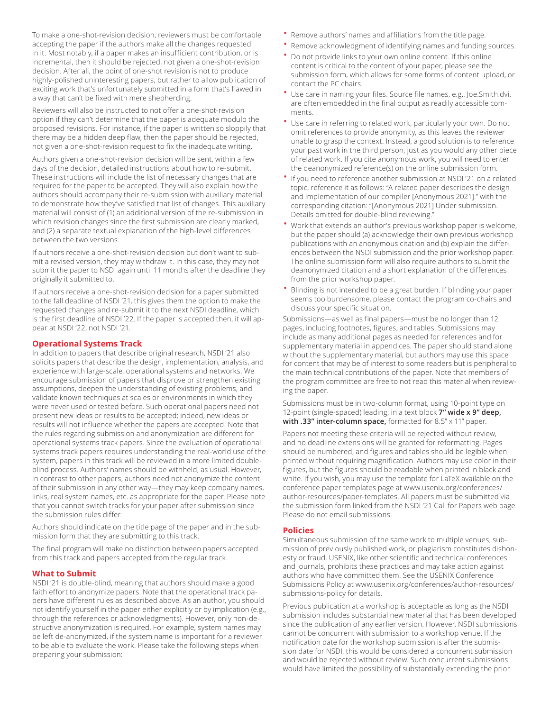To make a one-shot-revision decision, reviewers must be comfortable accepting the paper if the authors make all the changes requested in it. Most notably, if a paper makes an insufficient contribution, or is incremental, then it should be rejected, not given a one-shot-revision decision. After all, the point of one-shot revision is not to produce highly-polished uninteresting papers, but rather to allow publication of exciting work that's unfortunately submitted in a form that's flawed in a way that can't be fixed with mere shepherding.

Reviewers will also be instructed to not offer a one-shot-revision option if they can't determine that the paper is adequate modulo the proposed revisions. For instance, if the paper is written so sloppily that there may be a hidden deep flaw, then the paper should be rejected, not given a one-shot-revision request to fix the inadequate writing.

Authors given a one-shot-revision decision will be sent, within a few days of the decision, detailed instructions about how to re-submit. These instructions will include the list of necessary changes that are required for the paper to be accepted. They will also explain how the authors should accompany their re-submission with auxiliary material to demonstrate how they've satisfied that list of changes. This auxiliary material will consist of (1) an additional version of the re-submission in which revision changes since the first submission are clearly marked, and (2) a separate textual explanation of the high-level differences between the two versions.

If authors receive a one-shot-revision decision but don't want to submit a revised version, they may withdraw it. In this case, they may not submit the paper to NSDI again until 11 months after the deadline they originally it submitted to.

If authors receive a one-shot-revision decision for a paper submitted to the fall deadline of NSDI '21, this gives them the option to make the requested changes and re-submit it to the next NSDI deadline, which is the first deadline of NSDI '22. If the paper is accepted then, it will appear at NSDI '22, not NSDI '21.

#### **Operational Systems Track**

In addition to papers that describe original research, NSDI '21 also solicits papers that describe the design, implementation, analysis, and experience with large-scale, operational systems and networks. We encourage submission of papers that disprove or strengthen existing assumptions, deepen the understanding of existing problems, and validate known techniques at scales or environments in which they were never used or tested before. Such operational papers need not present new ideas or results to be accepted; indeed, new ideas or results will not influence whether the papers are accepted. Note that the rules regarding submission and anonymization are different for operational systems track papers. Since the evaluation of operational systems track papers requires understanding the real-world use of the system, papers in this track will be reviewed in a more limited doubleblind process. Authors' names should be withheld, as usual. However, in contrast to other papers, authors need not anonymize the content of their submission in any other way—they may keep company names, links, real system names, etc. as appropriate for the paper. Please note that you cannot switch tracks for your paper after submission since the submission rules differ.

Authors should indicate on the title page of the paper and in the submission form that they are submitting to this track.

The final program will make no distinction between papers accepted from this track and papers accepted from the regular track.

#### **What to Submit**

NSDI '21 is double-blind, meaning that authors should make a good faith effort to anonymize papers. Note that the operational track papers have different rules as described above. As an author, you should not identify yourself in the paper either explicitly or by implication (e.g., through the references or acknowledgments). However, only non-destructive anonymization is required. For example, system names may be left de-anonymized, if the system name is important for a reviewer to be able to evaluate the work. Please take the following steps when preparing your submission:

- Remove authors' names and affiliations from the title page.
- Remove acknowledgment of identifying names and funding sources.
- Do not provide links to your own online content. If this online content is critical to the content of your paper, please see the submission form, which allows for some forms of content upload, or contact the PC chairs.
- Use care in naming your files. Source file names, e.g., Joe.Smith.dvi, are often embedded in the final output as readily accessible comments.
- Use care in referring to related work, particularly your own. Do not omit references to provide anonymity, as this leaves the reviewer unable to grasp the context. Instead, a good solution is to reference your past work in the third person, just as you would any other piece of related work. If you cite anonymous work, you will need to enter the deanonymized reference(s) on the online submission form.
- If you need to reference another submission at NSDI '21 on a related topic, reference it as follows: "A related paper describes the design and implementation of our compiler [Anonymous 2021]." with the corresponding citation: "[Anonymous 2021] Under submission. Details omitted for double-blind reviewing."
- Work that extends an author's previous workshop paper is welcome, but the paper should (a) acknowledge their own previous workshop publications with an anonymous citation and (b) explain the differences between the NSDI submission and the prior workshop paper. The online submission form will also require authors to submit the deanonymized citation and a short explanation of the differences from the prior workshop paper.
- Blinding is not intended to be a great burden. If blinding your paper seems too burdensome, please contact the program co-chairs and discuss your specific situation.

Submissions—as well as final papers—must be no longer than 12 pages, including footnotes, figures, and tables. Submissions may include as many additional pages as needed for references and for supplementary material in appendices. The paper should stand alone without the supplementary material, but authors may use this space for content that may be of interest to some readers but is peripheral to the main technical contributions of the paper. Note that members of the program committee are free to not read this material when reviewing the paper.

Submissions must be in two-column format, using 10-point type on 12-point (single-spaced) leading, in a text block **7" wide x 9" deep, with .33" inter-column space,** formatted for 8.5" x 11" paper.

Papers not meeting these criteria will be rejected without review, and no deadline extensions will be granted for reformatting. Pages should be numbered, and figures and tables should be legible when printed without requiring magnification. Authors may use color in their figures, but the figures should be readable when printed in black and white. If you wish, you may use the template for LaTeX available on the conference paper templates page at [www.usenix.org/conferences/](http://www.usenix.org/conferences/author-resources/paper-templates) [author-resources/paper-templates.](http://www.usenix.org/conferences/author-resources/paper-templates) All papers must be submitted via the submission form linked from the NSDI '21 Call for Papers web page. Please do not email submissions.

#### **Policies**

Simultaneous submission of the same work to multiple venues, submission of previously published work, or plagiarism constitutes dishonesty or fraud. USENIX, like other scientific and technical conferences and journals, prohibits these practices and may take action against authors who have committed them. See the USENIX Conference Submissions Policy at [www.usenix.org/conferences/author-resources/](http://www.usenix.org/conferences/author-resources/submissions-policy) [submissions-policy](http://www.usenix.org/conferences/author-resources/submissions-policy) for details.

Previous publication at a workshop is acceptable as long as the NSDI submission includes substantial new material that has been developed since the publication of any earlier version. However, NSDI submissions cannot be concurrent with submission to a workshop venue. If the notification date for the workshop submission is after the submission date for NSDI, this would be considered a concurrent submission and would be rejected without review. Such concurrent submissions would have limited the possibility of substantially extending the prior